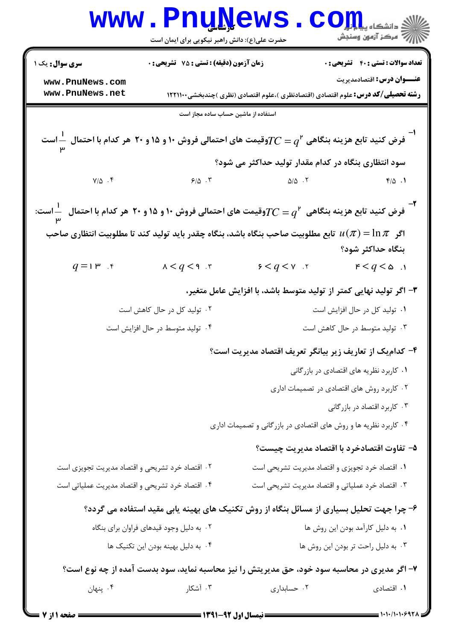|                                                                                                                                        | <b>www.PnuNews</b><br>حضرت علی(ع): دانش راهبر نیکویی برای ایمان است                                            |                                                                    | ران دانشڪاه پيا پارلي<br>الله = دانشڪاه پيا پارلي                                        |  |
|----------------------------------------------------------------------------------------------------------------------------------------|----------------------------------------------------------------------------------------------------------------|--------------------------------------------------------------------|------------------------------------------------------------------------------------------|--|
| <b>سری سوال :</b> یک ۱                                                                                                                 | زمان آزمون (دقیقه) : تستی : 75 ٪ تشریحی : 0                                                                    |                                                                    | <b>تعداد سوالات : تستی : 40 ٪ تشریحی : 0</b>                                             |  |
| www.PnuNews.com                                                                                                                        |                                                                                                                |                                                                    | <b>عنـــوان درس:</b> اقتصادمدیریت                                                        |  |
| www.PnuNews.net                                                                                                                        |                                                                                                                |                                                                    | <b>رشته تحصیلی/کد درس:</b> علوم اقتصادی (اقتصادنظری )،علوم اقتصادی (نظری )چندبخشی1۲۲۱۱۰۰ |  |
|                                                                                                                                        | استفاده از ماشین حساب ساده مجاز است                                                                            |                                                                    |                                                                                          |  |
| وقیمت های احتمالی فروش ۱۰ و ۱۵ و ۲۰ هر کدام با احتمالی نووش ۱۰ و ۲۰ هر کدام با احتمال $\frac{1}{\text{w}}$ است $\frac{1}{\text{w}}$    |                                                                                                                |                                                                    |                                                                                          |  |
|                                                                                                                                        |                                                                                                                | سود انتظاری بنگاه در کدام مقدار تولید حداکثر می شود؟               |                                                                                          |  |
| $Y/\Delta$ .                                                                                                                           | 9/0.7                                                                                                          | $\Delta/\Delta$ . T                                                | $F/\Delta$ .                                                                             |  |
| فرض کنید تابع هزینه بنگاهی $TC=q^{\mathsf{r}}$ وقیمت های احتمالی فروش ۱۰ و ۱۵ و ۲۰ هر کدام با احتمال $\frac{\mathsf{l}}{\mathsf{w}}$ . |                                                                                                                |                                                                    |                                                                                          |  |
|                                                                                                                                        | اگر $\pi = \ln \pi$ تابع مطلوبیت صاحب بنگاه باشد، بنگاه چقدر باید تولید کند تا مطلوبیت انتظاری صاحب $u(\pi)$ ا |                                                                    |                                                                                          |  |
|                                                                                                                                        |                                                                                                                |                                                                    | بنگاه حداکثر شود؟                                                                        |  |
| $q=1$ ۳ . ۴                                                                                                                            | $x < q < q$ . $r$                                                                                              | $9 < q < v$ .                                                      | $r < q < \omega$ .                                                                       |  |
|                                                                                                                                        |                                                                                                                | ۳– اگر تولید نهایی کمتر از تولید متوسط باشد، با افزایش عامل متغیر، |                                                                                          |  |
| ۲. تولید کل در حال کاهش است<br>۰۱ تولید کل در حال افزایش است                                                                           |                                                                                                                |                                                                    |                                                                                          |  |
| ۰۴ تولید متوسط در حال افزایش است                                                                                                       |                                                                                                                |                                                                    | ۰۳ تولید متوسط در حال کاهش است                                                           |  |
|                                                                                                                                        |                                                                                                                | ۴- كدام يك از تعاريف زير بيانگر تعريف اقتصاد مديريت است؟           |                                                                                          |  |
|                                                                                                                                        |                                                                                                                |                                                                    | ۰۱ کاربرد نظریه های اقتصادی در بازرگانی                                                  |  |
|                                                                                                                                        |                                                                                                                |                                                                    | ۰۲ کاربرد روش های اقتصادی در تصمیمات اداری                                               |  |
|                                                                                                                                        |                                                                                                                |                                                                    | ۰۳ کاربرد اقتصاد در بازرگانی                                                             |  |
|                                                                                                                                        |                                                                                                                | ۰۴ کاربرد نظریه ها و روش های اقتصادی در بازرگانی و تصمیمات اداری   |                                                                                          |  |
|                                                                                                                                        |                                                                                                                |                                                                    | ۵- تفاوت اقتصادخرد با اقتصاد مديريت چيست؟                                                |  |
| ۰۲ اقتصاد خرد تشریحی و اقتصاد مدیریت تجویزی است                                                                                        |                                                                                                                |                                                                    | ٠١ اقتصاد خرد تجويزي و اقتصاد مديريت تشريحي است                                          |  |
| ۰۴ اقتصاد خرد تشریحی و اقتصاد مدیریت عملیاتی است                                                                                       |                                                                                                                |                                                                    | ۰۳ اقتصاد خرد عملیاتی و اقتصاد مدیریت تشریحی است                                         |  |
|                                                                                                                                        | ۶- چرا جهت تحلیل بسیاری از مسائل بنگاه از روش تکنیک های بهینه یابی مقید استفاده می گردد؟                       |                                                                    |                                                                                          |  |
|                                                                                                                                        | ۰۲ به دلیل وجود قیدهای فراوان برای بنگاه                                                                       |                                                                    | ٠١. به دليل كارآمد بودن اين روش ها                                                       |  |
|                                                                                                                                        | ۰۴ به دلیل بهینه بودن این تکنیک ها                                                                             |                                                                    | ۰۳ به دلیل راحت تر بودن این روش ها                                                       |  |
|                                                                                                                                        | ۷- اگر مدیری در محاسبه سود خود، حق مدیریتش را نیز محاسبه نماید، سود بدست آمده از چه نوع است؟                   |                                                                    |                                                                                          |  |
| ۰۴ پنهان                                                                                                                               | ۰۳ آشکار                                                                                                       | ٠٢ حسابدارى                                                        | ۰۱ اقتصادی                                                                               |  |
|                                                                                                                                        |                                                                                                                |                                                                    |                                                                                          |  |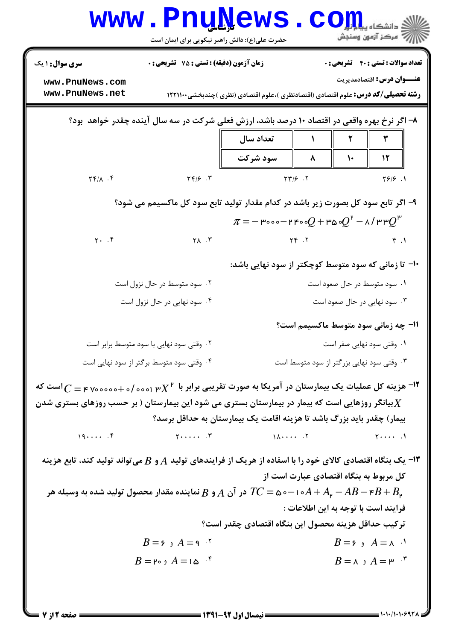|                                                                                                                                                                       | حضرت علی(ع): دانش راهبر نیکویی برای ایمان است                                                                                                                                                                                                                                                                                                                                                                                                                                                                                                                                                                                             | <b>Thurs</b> |                                                              | ه دانشگاه پ <b>یا با تو</b><br>رِ ۖ مرڪز آزمون وسنڊش                                                                          |  |
|-----------------------------------------------------------------------------------------------------------------------------------------------------------------------|-------------------------------------------------------------------------------------------------------------------------------------------------------------------------------------------------------------------------------------------------------------------------------------------------------------------------------------------------------------------------------------------------------------------------------------------------------------------------------------------------------------------------------------------------------------------------------------------------------------------------------------------|--------------|--------------------------------------------------------------|-------------------------------------------------------------------------------------------------------------------------------|--|
| <b>سری سوال : ۱ یک</b>                                                                                                                                                | <b>زمان آزمون (دقیقه) : تستی : 75 تشریحی : 0</b>                                                                                                                                                                                                                                                                                                                                                                                                                                                                                                                                                                                          |              |                                                              | <b>تعداد سوالات : تستی : 40 - تشریحی : 0</b>                                                                                  |  |
| www.PnuNews.com<br>www.PnuNews.net                                                                                                                                    |                                                                                                                                                                                                                                                                                                                                                                                                                                                                                                                                                                                                                                           |              |                                                              | <b>عنـــوان درس:</b> اقتصادمدیریت<br><b>رشته تحصیلی/کد درس:</b> علوم اقتصادی (اقتصادنظری )،علوم اقتصادی (نظری )چندبخشی1۲۲۱۱۰۰ |  |
|                                                                                                                                                                       |                                                                                                                                                                                                                                                                                                                                                                                                                                                                                                                                                                                                                                           |              |                                                              | ۸– اگر نرخ بهره واقعی در اقتصاد ۱۰ درصد باشد، ارزش فعلی شرکت در سه سال آینده چقدر خواهد بود؟                                  |  |
|                                                                                                                                                                       |                                                                                                                                                                                                                                                                                                                                                                                                                                                                                                                                                                                                                                           | تعداد سال    |                                                              | ٣<br>٢                                                                                                                        |  |
| $\uparrow \uparrow / \uparrow$ . $\uparrow$                                                                                                                           | $\gamma \gamma / \beta$ . $\gamma$                                                                                                                                                                                                                                                                                                                                                                                                                                                                                                                                                                                                        | سود شرکت     | ۸<br>$YY/5$ .                                                | 12<br>$\mathcal{L}$<br>Y9/9.1                                                                                                 |  |
|                                                                                                                                                                       |                                                                                                                                                                                                                                                                                                                                                                                                                                                                                                                                                                                                                                           |              |                                                              |                                                                                                                               |  |
| ۹- اگر تابع سود کل بصورت زیر باشد در کدام مقدار تولید تابع سود کل ماکسیمم می شود؟<br>$\pi$ = $-$ ۳۰۰۰ $-$ ۲۴۰۰ $Q$ + ۳۵۰ $Q^\mathfrak{p}$ $-$ ۸ / ۳۳ $Q^\mathfrak{p}$ |                                                                                                                                                                                                                                                                                                                                                                                                                                                                                                                                                                                                                                           |              |                                                              |                                                                                                                               |  |
| $Y.$ $Y$                                                                                                                                                              | $\gamma$ $\Lambda$ $\Gamma$                                                                                                                                                                                                                                                                                                                                                                                                                                                                                                                                                                                                               |              | $YF \cdot Y$                                                 | f.1                                                                                                                           |  |
|                                                                                                                                                                       |                                                                                                                                                                                                                                                                                                                                                                                                                                                                                                                                                                                                                                           |              |                                                              |                                                                                                                               |  |
| ∙۱- تا زمانی که سود متوسط کوچکتر از سود نهایی باشد:                                                                                                                   |                                                                                                                                                                                                                                                                                                                                                                                                                                                                                                                                                                                                                                           |              |                                                              |                                                                                                                               |  |
|                                                                                                                                                                       | ۰۲ سود متوسط در حال نزول است<br>۰۴ سود نهایی در حال نزول است                                                                                                                                                                                                                                                                                                                                                                                                                                                                                                                                                                              |              | ۰۱ سود متوسط در حال صعود است<br>۰۳ سود نهایی در حال صعود است |                                                                                                                               |  |
|                                                                                                                                                                       |                                                                                                                                                                                                                                                                                                                                                                                                                                                                                                                                                                                                                                           |              |                                                              | 11- چه زمانی سود متوسط ماکسیمم است؟                                                                                           |  |
|                                                                                                                                                                       | ۰۲ وقتی سود نهایی با سود متوسط برابر است                                                                                                                                                                                                                                                                                                                                                                                                                                                                                                                                                                                                  |              |                                                              | ۰۱ وقتی سود نهایی صفر است                                                                                                     |  |
|                                                                                                                                                                       | ۰۴ وقتی سود متوسط برگتر از سود نهایی است                                                                                                                                                                                                                                                                                                                                                                                                                                                                                                                                                                                                  |              |                                                              | ۰۳ وقتی سود نهایی بزرگتر از سود متوسط است                                                                                     |  |
| است که - هزینه کل عملیات یک بیمارستان در آمریکا به صورت تقریبی برابر با $X^{\, \mathsf{r}}$ <sub>ا ۷۰۰۰۰</sub> ۰۰ - ۲۰۰۰ مورت تقریبی برابر با $X^{\, \mathsf{r}}$     |                                                                                                                                                                                                                                                                                                                                                                                                                                                                                                                                                                                                                                           |              |                                                              |                                                                                                                               |  |
| بیانگر روزهایی است که بیمار در بیمارستان بستری می شود این بیمارستان ( بر حسب روزهای بستری شدن $X$                                                                     |                                                                                                                                                                                                                                                                                                                                                                                                                                                                                                                                                                                                                                           |              |                                                              |                                                                                                                               |  |
|                                                                                                                                                                       |                                                                                                                                                                                                                                                                                                                                                                                                                                                                                                                                                                                                                                           |              |                                                              | بیمار) چقدر باید بزرگ باشد تا هزینه اقامت یک بیمارستان به حداقل برسد؟                                                         |  |
| 19                                                                                                                                                                    | $Y \cdot \cdot \cdot \cdot \cdot$ $Y \cdot \cdot \cdot \cdot \cdot \cdot$ $\cdot \cdot \cdot \cdot \cdot \cdot \cdot Y \cdot \cdot \cdot \cdot \cdot \cdot Y \cdot \cdot \cdot \cdot \cdot Y \cdot \cdot \cdot \cdot Y \cdot \cdot \cdot \cdot Y \cdot \cdot \cdot \cdot Y \cdot \cdot \cdot Y \cdot \cdot \cdot Y \cdot \cdot \cdot Y \cdot \cdot \cdot Y \cdot \cdot \cdot Y \cdot \cdot Y \cdot \cdot Y \cdot \cdot Y \cdot \cdot Y \cdot \cdot Y \cdot \cdot Y \cdot \cdot Y \cdot \cdot Y \cdot \cdot Y \cdot \cdot Y \cdot \cdot Y \cdot \cdot Y \cdot \cdot Y \cdot \cdot Y \cdot \cdot Y \cdot \cdot Y \cdot \cdot Y \cdot \cdot$ |              |                                                              | $\uparrow \cdots$ .                                                                                                           |  |
| ا– یک بنگاه اقتصادی کالای خود را با اسفاده از هریک از فرایندهای تولید $A$ و $B$ میتواند تولید کند، تابع هزینه $\cdot$                                                 |                                                                                                                                                                                                                                                                                                                                                                                                                                                                                                                                                                                                                                           |              |                                                              |                                                                                                                               |  |
| کل مربوط به بنگاه اقتصادی عبارت است از                                                                                                                                |                                                                                                                                                                                                                                                                                                                                                                                                                                                                                                                                                                                                                                           |              |                                                              |                                                                                                                               |  |
| در آن $A$ و $B$ نماینده مقدار محصول تولید شده به وسیله هر T $C=$ ه $-$ ۱۰ $A+A_\mathfrak{\mathfrak{p}}-AB-\mathfrak{\mathfrak{k}}+B_\mathfrak{\mathfrak{p}}$          |                                                                                                                                                                                                                                                                                                                                                                                                                                                                                                                                                                                                                                           |              |                                                              |                                                                                                                               |  |
| فرايند است با توجه به اين اطلاعات :<br>تركيب حداقل هزينه محصول اين بنگاه اقتصادي چقدر است؟                                                                            |                                                                                                                                                                                                                                                                                                                                                                                                                                                                                                                                                                                                                                           |              |                                                              |                                                                                                                               |  |
|                                                                                                                                                                       | $B = 5$ و $A = 9$                                                                                                                                                                                                                                                                                                                                                                                                                                                                                                                                                                                                                         |              |                                                              | $B = 5$ $A = \Lambda$ $\cdot$                                                                                                 |  |
|                                                                                                                                                                       | $B = P \circ A = 1 \circ \cdot$ *                                                                                                                                                                                                                                                                                                                                                                                                                                                                                                                                                                                                         |              |                                                              | $B = \wedge$ $A = \vee$ $\wedge$                                                                                              |  |
|                                                                                                                                                                       |                                                                                                                                                                                                                                                                                                                                                                                                                                                                                                                                                                                                                                           |              |                                                              |                                                                                                                               |  |

٠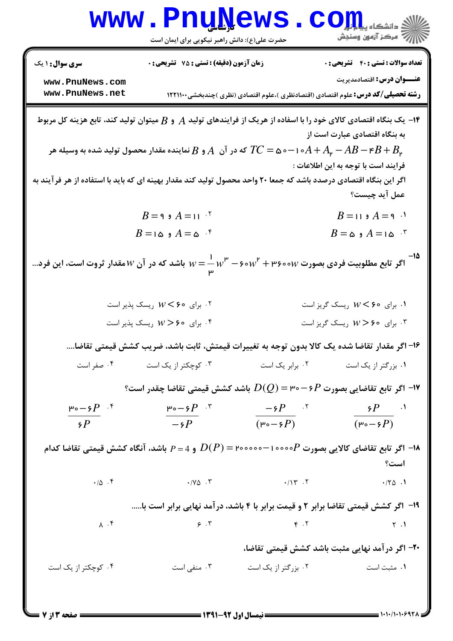|                                           | www.PnuNews<br>حضرت علی(ع): دانش راهبر نیکویی برای ایمان است                                                                                                                                                                                                            |                                                                                          | الاد دانشگاه پیاه بار است.<br>الله عرکز آزمون وسنجش                        |
|-------------------------------------------|-------------------------------------------------------------------------------------------------------------------------------------------------------------------------------------------------------------------------------------------------------------------------|------------------------------------------------------------------------------------------|----------------------------------------------------------------------------|
| <b>سری سوال : ۱ یک</b><br>www.PnuNews.com | زمان آزمون (دقیقه) : تستی : 75 گشریحی : 0                                                                                                                                                                                                                               |                                                                                          | <b>تعداد سوالات : تستی : 40 - تشریحی : 0</b><br>عنـــوان درس: اقتصادمدیریت |
| www.PnuNews.net                           |                                                                                                                                                                                                                                                                         | <b>رشته تحصیلی/کد درس:</b> علوم اقتصادی (اقتصادنظری )،علوم اقتصادی (نظری )چندبخشی۱۲۲۱۱۰۰ |                                                                            |
|                                           | ا— یک بنگاه اقتصادی کالای خود را با اسفاده از هریک از فرایندهای تولید $A$ و $B$ میتوان تولید کند، تابع هزینه کل مربوط $\bullet$<br>که در آن $A$ و $B$ نماینده مقدار محصول تولید شده به وسیله هر $TC =$ ۵۰ $-A + A_\mathfrak{p} - A B - \mathfrak{r} B + B_\mathfrak{p}$ |                                                                                          | به بنگاه اقتصادی عبارت است از                                              |
|                                           | اگر این بنگاه اقتصادی درصدد باشد که جمعا ۲۰ واحد محصول تولید کند مقدار بهینه ای که باید با استفاده از هر فرآیند به                                                                                                                                                      |                                                                                          | فرايند است با توجه به اين اطلاعات :<br>عمل آيد چيست؟                       |
|                                           | $B = 9$ و $A = 11^{-5}$                                                                                                                                                                                                                                                 |                                                                                          | $B = 119$ $A = 9$ <sup>.1</sup>                                            |
|                                           | $B = i \omega A = \omega$ ۴                                                                                                                                                                                                                                             |                                                                                          | $B = \omega A = \omega$ و $A = \omega$                                     |
|                                           | اگر تابع مطلوبیت فردی بصورت ۰٫۰۰۷ + ۳۶۰۰۷ س $w=\frac{1}{\mathfrak{p}}$ باشد که در آن $W$ مقدار ثروت است، این فرد                                                                                                                                                        |                                                                                          |                                                                            |
|                                           | ۰۲ برای ۶۰ × $W <$ ریسک پذیر است                                                                                                                                                                                                                                        |                                                                                          | ۰۱ برای ۶۰ × W ریسک گریز است                                               |
|                                           | برای ۶۰ × $W >$ ریسک پذیر است *                                                                                                                                                                                                                                         |                                                                                          | . برای ۶۰ × $W > 5$ ریسک گریز است                                          |
|                                           | ۱۶– اگر مقدار تقاضا شده یک کالا بدون توجه به تغییرات قیمتش، ثابت باشد، ضریب کشش قیمتی تقاضا….                                                                                                                                                                           |                                                                                          |                                                                            |
| ۰۴ صفر است                                | ۰۳ کوچکتر از یک است                                                                                                                                                                                                                                                     | ۰۱ بزرگتر از یک است مسمع ۲۰ برابر یک است                                                 |                                                                            |
|                                           | ا اگر تابع تقاضایی بصورت P $\cdot$ 9 – ۳۰ $D(Q)$ باشد کشش قیمتی تقاضا چقدر است؟ $\cdot$                                                                                                                                                                                 |                                                                                          |                                                                            |
| $P^{\circ}$ - $P^{\circ}$                 | ۳، $P \circ \neg \circ P$ به                                                                                                                                                                                                                                            | $-5P$ .                                                                                  | $5P$ .                                                                     |
| $\mathcal{P}$                             |                                                                                                                                                                                                                                                                         | $-\xi P$ $(\mu_0 - \xi P)$ $(\mu_0 - \xi P)$                                             |                                                                            |
|                                           | ا– اگر تابع تقاضای کالایی بصورت P $\circ\circ\circ$ ۰۰۰۰–۲۰۰۰۰۰ $D(P)$ و 4 $P=$ باشد، آنگاه کشش قیمتی تقاضا کدام $\bullet$                                                                                                                                              |                                                                                          |                                                                            |
|                                           | $\cdot/\Delta$ . T $\cdot/\gamma$ . T $\cdot/\gamma$ . T                                                                                                                                                                                                                |                                                                                          | است؟<br>.70.1                                                              |
|                                           | ۱۹- <b>اگر کشش قیمتی تقاضا برابر ۲ و قیمت برابر</b> با ۴ باشد، درآمد نهایی برابر است با                                                                                                                                                                                 |                                                                                          |                                                                            |
| $\lambda$ . $\zeta$                       | $\epsilon$ . T $\epsilon$ . T                                                                                                                                                                                                                                           |                                                                                          | $\uparrow$ . $\uparrow$                                                    |
|                                           |                                                                                                                                                                                                                                                                         |                                                                                          | ۲۰- اگر درآمد نهایی مثبت باشد کشش قیمتی تقاضا،                             |
| ۰۴ کوچکتر از یک است                       | ۰۳ منفی است                                                                                                                                                                                                                                                             | ۰۲ بزرگتر از یک است                                                                      | ۰۱ مثبت است                                                                |
|                                           |                                                                                                                                                                                                                                                                         |                                                                                          |                                                                            |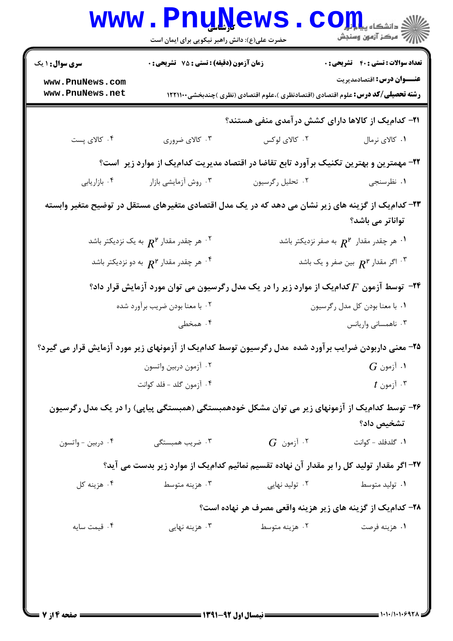| <b>سری سوال : ۱ یک</b> | زمان آزمون (دقیقه) : تستی : 75 گشریحی : 0                                |                                                                                                       | <b>تعداد سوالات : تستی : 40 - تشریحی : 0</b>         |
|------------------------|--------------------------------------------------------------------------|-------------------------------------------------------------------------------------------------------|------------------------------------------------------|
| www.PnuNews.com        |                                                                          |                                                                                                       | <b>عنـــوان درس:</b> اقتصادمدیریت                    |
| www.PnuNews.net        |                                                                          | <b>رشته تحصیلی/کد درس:</b> علوم اقتصادی (اقتصادنظری )،علوم اقتصادی (نظری )چندبخشی۱۲۲۱۱۰۰              |                                                      |
|                        |                                                                          | <b>۲۱</b> - کدام یک از کالاها دارای کشش در آمدی منفی هستند؟                                           |                                                      |
| ۰۴ کالای پست           | ۰۳ کالای ضروری                                                           | ۰۲ کالای لوکس                                                                                         | ۰۱ کالای نرمال                                       |
|                        |                                                                          | ۲۲– مهمترین و بهترین تکنیک برآورد تابع تقاضا در اقتصاد مدیریت کدامیک از موارد زیر است؟                |                                                      |
| ۰۴ بازاريابي           | ۰۳ روش آزمایشی بازار                                                     | ۰۲ تحلیل رگرسیون                                                                                      | ۰۱ نظرسنجي                                           |
|                        |                                                                          | ۲۳– کدام یک از گزینه های زیر نشان می دهد که در یک مدل اقتصادی متغیرهای مستقل در توضیح متغیر وابسته    |                                                      |
|                        |                                                                          |                                                                                                       | تواناتر می باشد؟                                     |
|                        | ۰۲ هر چقدر مقدار $R^{\mathsf{P}}$ به یک نزدیکتر باشد $\cdot$             |                                                                                                       | ۰۱ هر چقدر مقدار $R^\mathsf{P}$ به صفر نزدیکتر باشد  |
|                        | هر چقدر مقدار ۲ $R^{\mathsf{r}}$ به دو نزدیکتر باشد $\cdot^{\mathsf{e}}$ |                                                                                                       | اگر مقدار $R^{\mathsf{P}}$ بین صفر و یک باشد $\cdot$ |
|                        |                                                                          | ۳۴- توسط آزمون $F$ کدام ک از موارد زیر را در یک مدل رگرسیون می توان مورد آزمایش قرار داد؟             |                                                      |
|                        | ۰۲ با معنا بودن ضریب برآورد شده                                          |                                                                                                       | ۰۱ با معنا بودن کل مدل رگرسیون                       |
|                        | ۰۴ همخطی                                                                 |                                                                                                       | ۰۳ ناهمسانی واریانس                                  |
|                        |                                                                          | ۲۵- معنی داربودن ضرایب برآورد شده ًمدل رگرسیون توسط کدام یک از آزمونهای زیر مورد آزمایش قرار می گیرد؟ |                                                      |
|                        | ٠٢ آزمون دربين واتسون                                                    |                                                                                                       | $G$ آزمون $\cdot$                                    |
|                        | ۰۴ آزمون گلد - فلد کوانت                                                 |                                                                                                       | $t$ آزمون $\cdot$                                    |
|                        |                                                                          | ۲۶- توسط کدام یک از آزمونهای زیر می توان مشکل خودهمبستگی (همبستگی پیاپی) را در یک مدل رگرسیون         |                                                      |
|                        |                                                                          |                                                                                                       | تشخيص داد؟                                           |
| ۰۴ دربين - واتسون      | ۰۳ ضریب همبستگی                                                          | $G$ آزمون. $\cdot$                                                                                    | ٠١ گلدفلد - كوانت                                    |
|                        |                                                                          | ۲۷– اگر مقدار تولید کل را بر مقدار آن نهاده تقسیم نمائیم کدامیک از موارد زیر بدست می آید؟             |                                                      |
| ۰۴ هزينه کل            | ۰۳ هزينه متوسط                                                           | ۰۲ تولید نهایی                                                                                        | ۰۱ تولید متوسط                                       |
|                        |                                                                          | ۲۸- کدام یک از گزینه های زیر هزینه واقعی مصرف هر نهاده است؟                                           |                                                      |
| ۰۴ قیمت سایه           | ۰۳ هزینه نهایی                                                           | ۰۲ هزینه متوسط                                                                                        | ۰۱ هزينه فرصت                                        |
|                        |                                                                          |                                                                                                       |                                                      |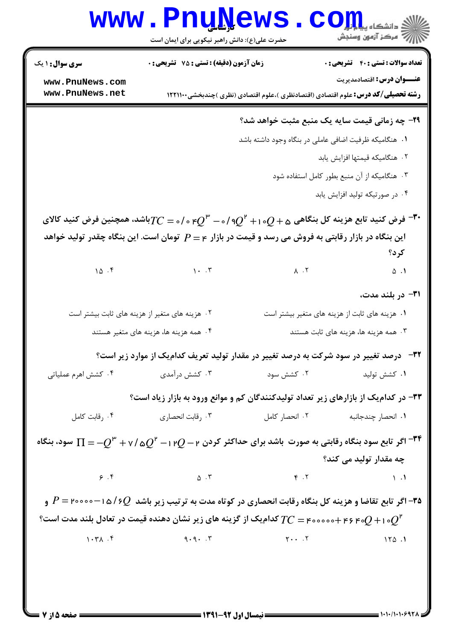|                        | <b>www.PnuNews</b><br>حضرت علی(ع): دانش راهبر نیکویی برای ایمان است                                                                                       |                       | کے دانشکاہ پیا ہار<br>ان مرکز آزمون وسنجش               |
|------------------------|-----------------------------------------------------------------------------------------------------------------------------------------------------------|-----------------------|---------------------------------------------------------|
| <b>سری سوال : ۱ یک</b> | زمان آزمون (دقیقه) : تستی : 75 ٪ تشریحی : 0                                                                                                               |                       | <b>تعداد سوالات : تستی : 40 - تشریحی : 0</b>            |
| www.PnuNews.com        |                                                                                                                                                           |                       | <b>عنـــوان درس:</b> اقتصادمدیریت                       |
| www.PnuNews.net        | <b>رشته تحصیلی/کد درس:</b> علوم اقتصادی (اقتصادنظری )،علوم اقتصادی (نظری )چندبخشی1۲۲۱۱۰۰                                                                  |                       |                                                         |
|                        |                                                                                                                                                           |                       | <b>۲۹</b> - چه زمانی قیمت سایه یک منبع مثبت خواهد شد؟   |
|                        |                                                                                                                                                           |                       | ١.  هنگاميكه ظرفيت اضافي عاملي در بنگاه وجود داشته باشد |
|                        |                                                                                                                                                           |                       | ٢. هنگاميكه قيمتها افزايش يابد                          |
|                        |                                                                                                                                                           |                       | ۰۳ هنگامیکه از آن منبع بطور کامل استفاده شود            |
|                        |                                                                                                                                                           |                       | ۰۴ در صورتیکه تولید افزایش یابد                         |
|                        | فرض کنید تابع هزینه کل بنگاهی ۱۰ $Q+\circ Q^{\mathfrak{p}}-$ ۰/۹ او $Q^{\mathfrak{p}}-$ ۲۰ اشد، همچنین فرض کنید کالای $\mathfrak{r}$                      |                       |                                                         |
|                        | این بنگاه در بازار رقابتی به فروش می رسد و قیمت در بازار ع $P=P$ تومان است. این بنگاه چقدر تولید خواهد                                                    |                       |                                                         |
|                        |                                                                                                                                                           |                       | کرد؟                                                    |
|                        | 10.5                                                                                                                                                      | $\lambda$ . $\lambda$ | $\Delta$ . 1                                            |
|                        |                                                                                                                                                           |                       | ۳۱– در بلند مدت،                                        |
|                        | ۰۲ هزینه های متغیر از هزینه های ثابت بیشتر است                                                                                                            |                       | ۰۱ هزینه های ثابت از هزینه های متغیر بیشتر است          |
|                        | ۰۴ همه هزینه ها، هزینه های متغیر هستند                                                                                                                    |                       | ۰۳ همه هزینه ها، هزینه های ثابت هستند                   |
|                        | <sup>4۲</sup> - درصد تغییر در سود شرکت به درصد تغییر در مقدار تولید تعریف کدامیک از موارد زیر است؟                                                        |                       |                                                         |
| ۰۴ کشش اهرم عملیاتی    | ۰۳ کشش درآمدی                                                                                                                                             |                       | ۰۱ کشش تولید مست $\cdot$ ۲ ۰۲ کشش سود                   |
|                        | ۳۳- در کدامیک از بازارهای زیر تعداد تولیدکنندگان کم و موانع ورود به بازار زیاد است؟                                                                       |                       |                                                         |
|                        |                                                                                                                                                           |                       |                                                         |
|                        | اگر تابع سود بنگاه رقابتی به صورت $\psi$ شد برای حداکثر کردن $Q$ ۲ – $Q^{\mathsf{P}}$ $\gamma/\mathfrak{a}$ $Q^{\mathsf{P}}$ سود، بنگاه $^{-\mathsf{PP}}$ |                       |                                                         |
|                        |                                                                                                                                                           |                       | چه مقدار تولید می کند؟                                  |
|                        | 9.9                                                                                                                                                       |                       |                                                         |
|                        | ۳۵ – اگر تابع تقاضا و هزینه کل بنگاه رقابت انحصاری در کوتاه مدت به ترتیب زیر باشد $Q$ ۶ / ۱۵ – ۲۰۰۰۰ – P و                                                |                       |                                                         |
|                        | و ۳۰ و $Q$ + ۴۶ جمع خصوص کار گزینه های زیر نشان دهنده قیمت در تعادل بلند مدت است $T C =$ کدام $Q^{\mathsf{r}}$                                            |                       |                                                         |
|                        |                                                                                                                                                           |                       |                                                         |
|                        |                                                                                                                                                           |                       |                                                         |
|                        |                                                                                                                                                           |                       |                                                         |
|                        |                                                                                                                                                           |                       |                                                         |

= 1 . 1 . / 1 . 1 . 6 9 7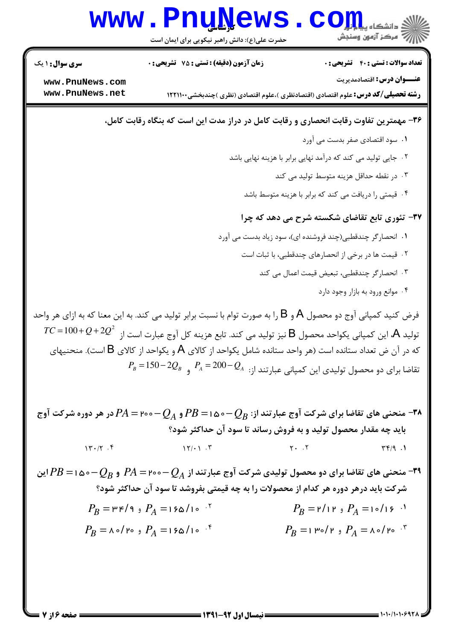

صفحه ۱۶ کا =

= 1+1+/1+1+6921